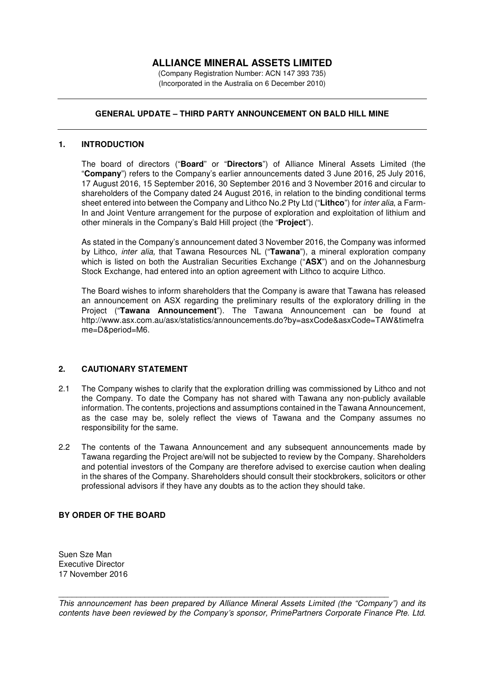# **ALLIANCE MINERAL ASSETS LIMITED**

(Company Registration Number: ACN 147 393 735) (Incorporated in the Australia on 6 December 2010)

## **GENERAL UPDATE – THIRD PARTY ANNOUNCEMENT ON BALD HILL MINE**

#### **1. INTRODUCTION**

The board of directors ("**Board**" or "**Directors**") of Alliance Mineral Assets Limited (the "**Company**") refers to the Company's earlier announcements dated 3 June 2016, 25 July 2016, 17 August 2016, 15 September 2016, 30 September 2016 and 3 November 2016 and circular to shareholders of the Company dated 24 August 2016, in relation to the binding conditional terms sheet entered into between the Company and Lithco No.2 Pty Ltd ("**Lithco**") for *inter alia*, a Farm-In and Joint Venture arrangement for the purpose of exploration and exploitation of lithium and other minerals in the Company's Bald Hill project (the "**Project**").

As stated in the Company's announcement dated 3 November 2016, the Company was informed by Lithco, *inter alia,* that Tawana Resources NL ("**Tawana**"), a mineral exploration company which is listed on both the Australian Securities Exchange ("**ASX**") and on the Johannesburg Stock Exchange, had entered into an option agreement with Lithco to acquire Lithco.

The Board wishes to inform shareholders that the Company is aware that Tawana has released an announcement on ASX regarding the preliminary results of the exploratory drilling in the Project ("**Tawana Announcement**"). The Tawana Announcement can be found at http://www.asx.com.au/asx/statistics/announcements.do?by=asxCode&asxCode=TAW&timefra me=D&period=M6.

### **2. CAUTIONARY STATEMENT**

- 2.1 The Company wishes to clarify that the exploration drilling was commissioned by Lithco and not the Company. To date the Company has not shared with Tawana any non-publicly available information. The contents, projections and assumptions contained in the Tawana Announcement, as the case may be, solely reflect the views of Tawana and the Company assumes no responsibility for the same.
- 2.2 The contents of the Tawana Announcement and any subsequent announcements made by Tawana regarding the Project are/will not be subjected to review by the Company. Shareholders and potential investors of the Company are therefore advised to exercise caution when dealing in the shares of the Company. Shareholders should consult their stockbrokers, solicitors or other professional advisors if they have any doubts as to the action they should take.

### **BY ORDER OF THE BOARD**

Suen Sze Man Executive Director 17 November 2016

*This announcement has been prepared by Alliance Mineral Assets Limited (the "Company") and its contents have been reviewed by the Company's sponsor, PrimePartners Corporate Finance Pte. Ltd.* 

\_\_\_\_\_\_\_\_\_\_\_\_\_\_\_\_\_\_\_\_\_\_\_\_\_\_\_\_\_\_\_\_\_\_\_\_\_\_\_\_\_\_\_\_\_\_\_\_\_\_\_\_\_\_\_\_\_\_\_\_\_\_\_\_\_\_\_\_\_\_\_\_\_